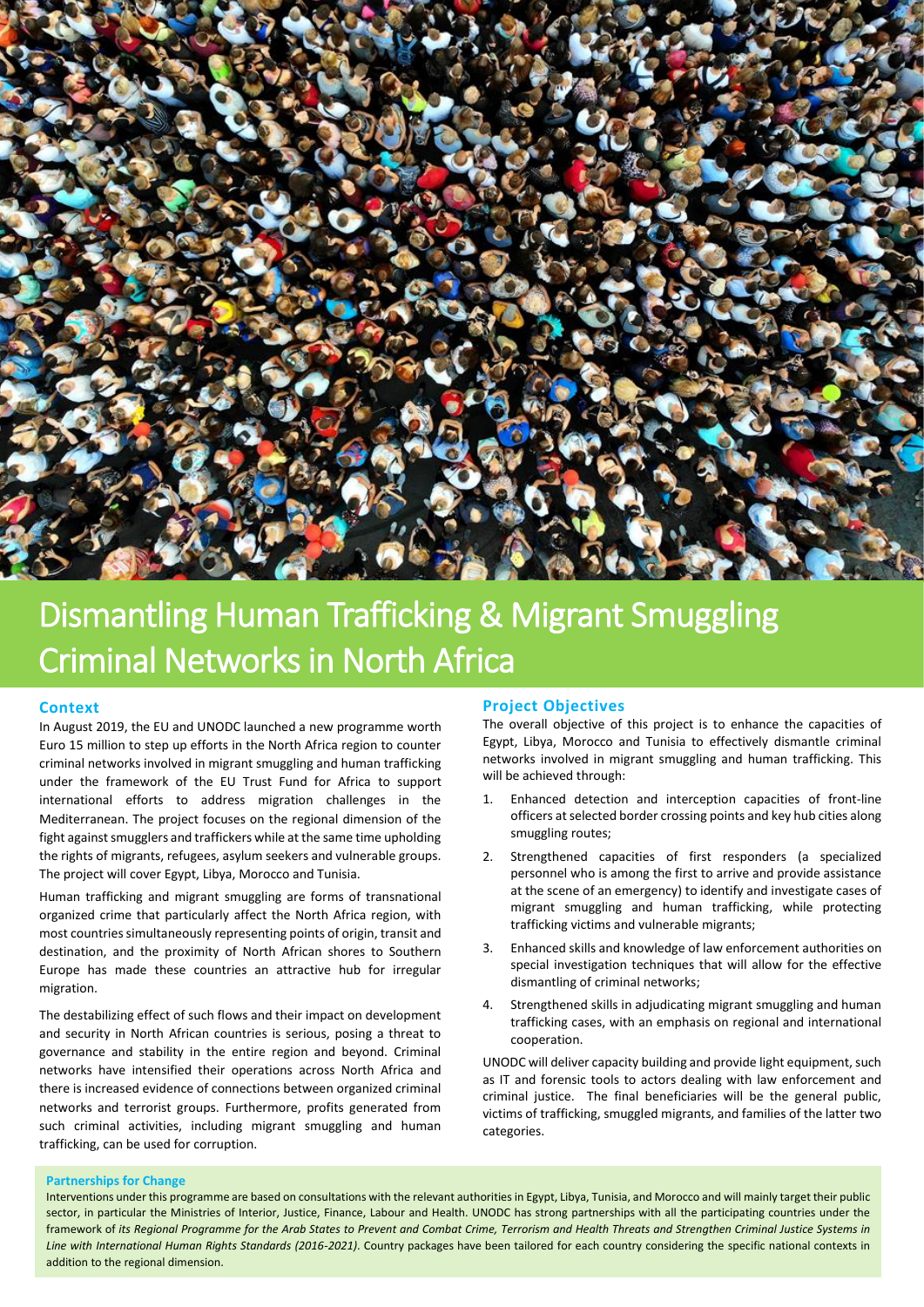

# Dismantling Human Trafficking & Migrant Smuggling Criminal Networks in North Africa

#### **Context**

In August 2019, the EU and UNODC launched a new programme worth Euro 15 million to step up efforts in the North Africa region to counter criminal networks involved in migrant smuggling and human trafficking under the framework of the EU Trust Fund for Africa to support international efforts to address migration challenges in the Mediterranean. The project focuses on the regional dimension of the fight against smugglers and traffickers while at the same time upholding the rights of migrants, refugees, asylum seekers and vulnerable groups. The project will cover Egypt, Libya, Morocco and Tunisia.

Human trafficking and migrant smuggling are forms of transnational organized crime that particularly affect the North Africa region, with most countries simultaneously representing points of origin, transit and destination, and the proximity of North African shores to Southern Europe has made these countries an attractive hub for irregular migration.

The destabilizing effect of such flows and their impact on development and security in North African countries is serious, posing a threat to governance and stability in the entire region and beyond. Criminal networks have intensified their operations across North Africa and there is increased evidence of connections between organized criminal networks and terrorist groups. Furthermore, profits generated from such criminal activities, including migrant smuggling and human trafficking, can be used for corruption.

#### **Project Objectives**

The overall objective of this project is to enhance the capacities of Egypt, Libya, Morocco and Tunisia to effectively dismantle criminal networks involved in migrant smuggling and human trafficking. This will be achieved through:

- 1. Enhanced detection and interception capacities of front-line officers at selected border crossing points and key hub cities along smuggling routes;
- 2. Strengthened capacities of first responders (a specialized personnel who is among the first to arrive and provide assistance at the scene of an emergency) to identify and investigate cases of migrant smuggling and human trafficking, while protecting trafficking victims and vulnerable migrants;
- 3. Enhanced skills and knowledge of law enforcement authorities on special investigation techniques that will allow for the effective dismantling of criminal networks;
- 4. Strengthened skills in adjudicating migrant smuggling and human trafficking cases, with an emphasis on regional and international cooperation.

UNODC will deliver capacity building and provide light equipment, such as IT and forensic tools to actors dealing with law enforcement and criminal justice. The final beneficiaries will be the general public, victims of trafficking, smuggled migrants, and families of the latter two categories.

## **Partnerships for Change**

Interventions under this programme are based on consultations with the relevant authorities in Egypt, Libya, Tunisia, and Morocco and will mainly target their public sector, in particular the Ministries of Interior, Justice, Finance, Labour and Health. UNODC has strong partnerships with all the participating countries under the framework of *its Regional Programme for the Arab States to Prevent and Combat Crime, Terrorism and Health Threats and Strengthen Criminal Justice Systems in Line with International Human Rights Standards (2016-2021)*. Country packages have been tailored for each country considering the specific national contexts in addition to the regional dimension.